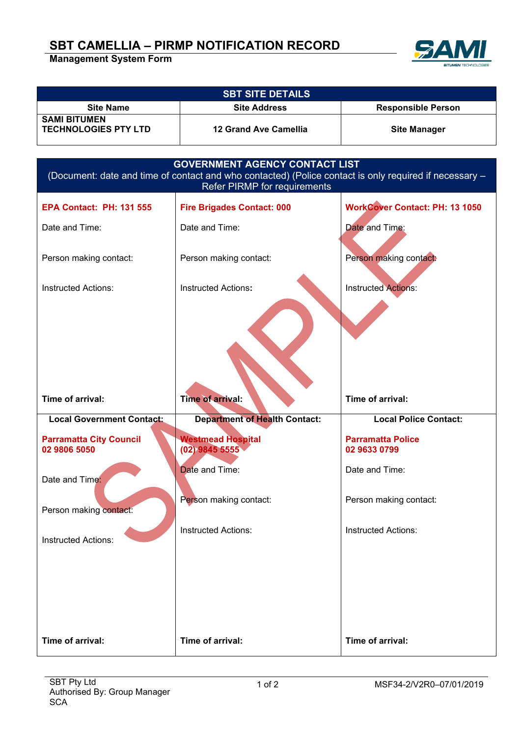## **SBT CAMELLIA – PIRMP NOTIFICATION RECORD**

**Management System Form**



| <b>SBT SITE DETAILS</b>                            |                       |                           |  |
|----------------------------------------------------|-----------------------|---------------------------|--|
| <b>Site Name</b>                                   | <b>Site Address</b>   | <b>Responsible Person</b> |  |
| <b>SAMI BITUMEN</b><br><b>TECHNOLOGIES PTY LTD</b> | 12 Grand Ave Camellia | <b>Site Manager</b>       |  |

| <b>GOVERNMENT AGENCY CONTACT LIST</b><br>(Document: date and time of contact and who contacted) (Police contact is only required if necessary -<br>Refer PIRMP for requirements |                                      |                                       |  |
|---------------------------------------------------------------------------------------------------------------------------------------------------------------------------------|--------------------------------------|---------------------------------------|--|
| <b>EPA Contact: PH: 131 555</b>                                                                                                                                                 | <b>Fire Brigades Contact: 000</b>    | <b>WorkCover Contact: PH: 13 1050</b> |  |
| Date and Time:                                                                                                                                                                  | Date and Time:                       | Date and Time:                        |  |
| Person making contact:                                                                                                                                                          | Person making contact:               | Person making contact:                |  |
| <b>Instructed Actions:</b>                                                                                                                                                      | <b>Instructed Actions:</b>           | <b>Instructed Actions:</b>            |  |
| Time of arrival:                                                                                                                                                                | <b>Time of arrival:</b>              | Time of arrival:                      |  |
|                                                                                                                                                                                 |                                      |                                       |  |
| <b>Local Government Contact:</b>                                                                                                                                                | <b>Department of Health Contact:</b> | <b>Local Police Contact:</b>          |  |
| <b>Parramatta City Council</b>                                                                                                                                                  | <b>Westmead Hospital</b>             | <b>Parramatta Police</b>              |  |
| 02 9806 5050<br>Date and Time:                                                                                                                                                  | $(02)$ 9845 5555<br>Date and Time:   | 02 9633 0799<br>Date and Time:        |  |
| Person making contact:                                                                                                                                                          | Person making contact:               | Person making contact:                |  |
| <b>Instructed Actions:</b>                                                                                                                                                      | <b>Instructed Actions:</b>           | <b>Instructed Actions:</b>            |  |
|                                                                                                                                                                                 |                                      |                                       |  |
|                                                                                                                                                                                 |                                      |                                       |  |
|                                                                                                                                                                                 |                                      |                                       |  |